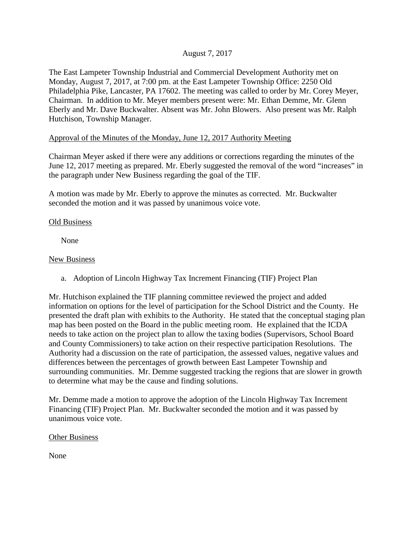## August 7, 2017

The East Lampeter Township Industrial and Commercial Development Authority met on Monday, August 7, 2017, at 7:00 pm. at the East Lampeter Township Office: 2250 Old Philadelphia Pike, Lancaster, PA 17602. The meeting was called to order by Mr. Corey Meyer, Chairman. In addition to Mr. Meyer members present were: Mr. Ethan Demme, Mr. Glenn Eberly and Mr. Dave Buckwalter. Absent was Mr. John Blowers. Also present was Mr. Ralph Hutchison, Township Manager.

## Approval of the Minutes of the Monday, June 12, 2017 Authority Meeting

Chairman Meyer asked if there were any additions or corrections regarding the minutes of the June 12, 2017 meeting as prepared. Mr. Eberly suggested the removal of the word "increases" in the paragraph under New Business regarding the goal of the TIF.

A motion was made by Mr. Eberly to approve the minutes as corrected. Mr. Buckwalter seconded the motion and it was passed by unanimous voice vote.

#### Old Business

None

#### New Business

a. Adoption of Lincoln Highway Tax Increment Financing (TIF) Project Plan

Mr. Hutchison explained the TIF planning committee reviewed the project and added information on options for the level of participation for the School District and the County. He presented the draft plan with exhibits to the Authority. He stated that the conceptual staging plan map has been posted on the Board in the public meeting room. He explained that the ICDA needs to take action on the project plan to allow the taxing bodies (Supervisors, School Board and County Commissioners) to take action on their respective participation Resolutions. The Authority had a discussion on the rate of participation, the assessed values, negative values and differences between the percentages of growth between East Lampeter Township and surrounding communities. Mr. Demme suggested tracking the regions that are slower in growth to determine what may be the cause and finding solutions.

Mr. Demme made a motion to approve the adoption of the Lincoln Highway Tax Increment Financing (TIF) Project Plan. Mr. Buckwalter seconded the motion and it was passed by unanimous voice vote.

#### Other Business

None